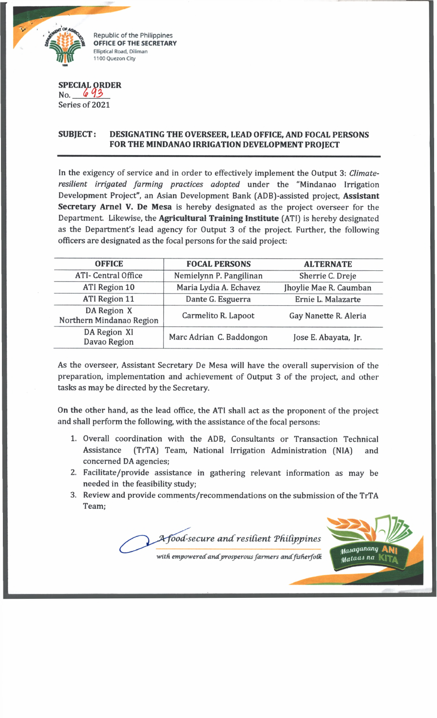

Republic of the Philippines **OFFICE OF THE SECRETARY Elliptical Road, Diliman 1100 Quezon City**

## **SPECIA** SPECIAL ORDER<br>No. 643<br>Series of 2021

Series of 2021

## **SUBJECT: DESIGNATING THE OVERSEER, LEAD OFFICE, AND FOCAL PERSONS FOR THE MINDANAO IRRIGATION DEVELOPMENT PROJECT**

In the exigency of service and in order to effectively implement the Output 3: *Climateresilient irrigated farming practices adopted* under the "Mindanao Irrigation Development Project", an Asian Development Bank (ADB)-assisted project, **Assistant Secretary Arnel V. De Mesa** is hereby designated as the project overseer for the Department. Likewise, the **Agricultural Training Institute** (ATI) is hereby designated as the Department's lead agency for Output 3 of the project. Further, the following officers are designated as the focal persons for the said project:

| <b>OFFICE</b>                           | <b>FOCAL PERSONS</b>     | <b>ALTERNATE</b>       |
|-----------------------------------------|--------------------------|------------------------|
| <b>ATI- Central Office</b>              | Nemielynn P. Pangilinan  | Sherrie C. Dreje       |
| ATI Region 10                           | Maria Lydia A. Echavez   | Jhoylie Mae R. Caumban |
| <b>ATI</b> Region 11                    | Dante G. Esguerra        | Ernie L. Malazarte     |
| DA Region X<br>Northern Mindanao Region | Carmelito R. Lapoot      | Gay Nanette R. Aleria  |
| DA Region XI<br>Davao Region            | Marc Adrian C. Baddongon | Jose E. Abayata, Jr.   |

As the overseer, Assistant Secretary De Mesa will have the overall supervision of the preparation, implementation and achievement of Output 3 of the project, and other tasks as may be directed by the Secretary.

On the other hand, as the lead office, the ATI shall act as the proponent of the project and shall perform the following, with the assistance of the focal persons:

- 1. Overall coordination with the ADB, Consultants or Transaction Technical Assistance (TrTA) Team, National Irrigation Administration (NIA) and concerned DA agencies;
- 2. Facilitate/provide assistance in gathering relevant information as may be needed in the feasibility study;
- 3. Review and provide comments/recommendations on the submission of the TrTA Team;

tfood-secure and resilient Philippines Masaganang Mataas na

with empowered and prosperous farmers and fisherfolk